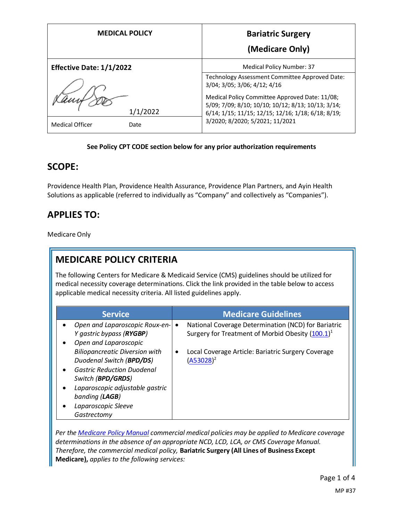| <b>MEDICAL POLICY</b>           | <b>Bariatric Surgery</b>                                                                                                                                   |
|---------------------------------|------------------------------------------------------------------------------------------------------------------------------------------------------------|
|                                 | (Medicare Only)                                                                                                                                            |
| <b>Effective Date: 1/1/2022</b> | <b>Medical Policy Number: 37</b>                                                                                                                           |
|                                 | Technology Assessment Committee Approved Date:<br>3/04; 3/05; 3/06; 4/12; 4/16                                                                             |
| 1/1/2022                        | Medical Policy Committee Approved Date: 11/08;<br>5/09; 7/09; 8/10; 10/10; 10/12; 8/13; 10/13; 3/14;<br>6/14; 1/15; 11/15; 12/15; 12/16; 1/18; 6/18; 8/19; |
| <b>Medical Officer</b><br>Date  | 3/2020; 8/2020; 5/2021; 11/2021                                                                                                                            |

#### **See Policy CPT CODE section below for any prior authorization requirements**

### **SCOPE:**

Providence Health Plan, Providence Health Assurance, Providence Plan Partners, and Ayin Health Solutions as applicable (referred to individually as "Company" and collectively as "Companies").

# **APPLIES TO:**

Medicare Only

# **MEDICARE POLICY CRITERIA**

The following Centers for Medicare & Medicaid Service (CMS) guidelines should be utilized for medical necessity coverage determinations. Click the link provided in the table below to access applicable medical necessity criteria. All listed guidelines apply.

| <b>Service</b>                              | <b>Medicare Guidelines</b>                                       |
|---------------------------------------------|------------------------------------------------------------------|
| Open and Laparoscopic Roux-en-<br>$\bullet$ | National Coverage Determination (NCD) for Bariatric<br>$\bullet$ |
| Y gastric bypass (RYGBP)                    | Surgery for Treatment of Morbid Obesity (100.1) <sup>1</sup>     |
| Open and Laparoscopic                       |                                                                  |
| <b>Biliopancreatic Diversion with</b>       | Local Coverage Article: Bariatric Surgery Coverage<br>$\bullet$  |
| Duodenal Switch (BPD/DS)                    | $(A53028)^2$                                                     |
| <b>Gastric Reduction Duodenal</b>           |                                                                  |
| Switch (BPD/GRDS)                           |                                                                  |
| Laparoscopic adjustable gastric             |                                                                  |
| banding (LAGB)                              |                                                                  |
| Laparoscopic Sleeve                         |                                                                  |
| Gastrectomy                                 |                                                                  |

*Per th[e Medicare Policy Manual](https://s3-us-west-2.amazonaws.com/images.provhealth.org/Providence-Images/PHP_PHA_Medical_Policy_CMS_Manual.pdf) commercial medical policies may be applied to Medicare coverage determinations in the absence of an appropriate NCD, LCD, LCA, or CMS Coverage Manual. Therefore, the commercial medical policy,* **Bariatric Surgery (All Lines of Business Except Medicare),** *applies to the following services:*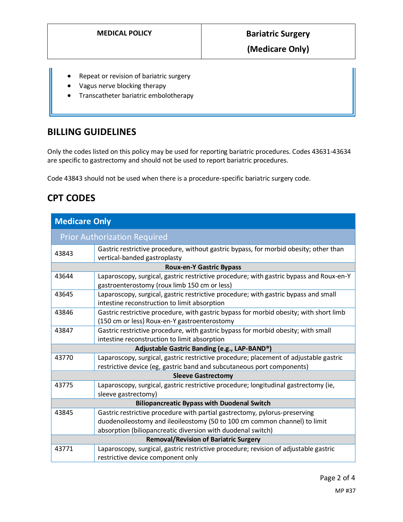**(Medicare Only)**

- Repeat or revision of bariatric surgery
- Vagus nerve blocking therapy
- Transcatheter bariatric embolotherapy

### **BILLING GUIDELINES**

Only the codes listed on this policy may be used for reporting bariatric procedures. Codes 43631-43634 are specific to gastrectomy and should not be used to report bariatric procedures.

Code 43843 should not be used when there is a procedure-specific bariatric surgery code.

## **CPT CODES**

| <b>Medicare Only</b>                               |                                                                                                                                                                                                                        |  |
|----------------------------------------------------|------------------------------------------------------------------------------------------------------------------------------------------------------------------------------------------------------------------------|--|
| <b>Prior Authorization Required</b>                |                                                                                                                                                                                                                        |  |
| 43843                                              | Gastric restrictive procedure, without gastric bypass, for morbid obesity; other than<br>vertical-banded gastroplasty                                                                                                  |  |
| <b>Roux-en-Y Gastric Bypass</b>                    |                                                                                                                                                                                                                        |  |
| 43644                                              | Laparoscopy, surgical, gastric restrictive procedure; with gastric bypass and Roux-en-Y<br>gastroenterostomy (roux limb 150 cm or less)                                                                                |  |
| 43645                                              | Laparoscopy, surgical, gastric restrictive procedure; with gastric bypass and small<br>intestine reconstruction to limit absorption                                                                                    |  |
| 43846                                              | Gastric restrictive procedure, with gastric bypass for morbid obesity; with short limb<br>(150 cm or less) Roux-en-Y gastroenterostomy                                                                                 |  |
| 43847                                              | Gastric restrictive procedure, with gastric bypass for morbid obesity; with small<br>intestine reconstruction to limit absorption                                                                                      |  |
| Adjustable Gastric Banding (e.g., LAP-BAND®)       |                                                                                                                                                                                                                        |  |
| 43770                                              | Laparoscopy, surgical, gastric restrictive procedure; placement of adjustable gastric<br>restrictive device (eg, gastric band and subcutaneous port components)                                                        |  |
| <b>Sleeve Gastrectomy</b>                          |                                                                                                                                                                                                                        |  |
| 43775                                              | Laparoscopy, surgical, gastric restrictive procedure; longitudinal gastrectomy (ie,<br>sleeve gastrectomy)                                                                                                             |  |
| <b>Biliopancreatic Bypass with Duodenal Switch</b> |                                                                                                                                                                                                                        |  |
| 43845                                              | Gastric restrictive procedure with partial gastrectomy, pylorus-preserving<br>duodenoileostomy and ileoileostomy (50 to 100 cm common channel) to limit<br>absorption (biliopancreatic diversion with duodenal switch) |  |
| <b>Removal/Revision of Bariatric Surgery</b>       |                                                                                                                                                                                                                        |  |
| 43771                                              | Laparoscopy, surgical, gastric restrictive procedure; revision of adjustable gastric<br>restrictive device component only                                                                                              |  |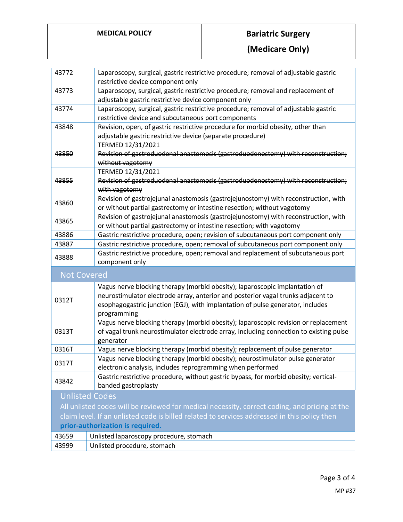# **MEDICAL POLICY Bariatric Surgery**

**(Medicare Only)**

| 43772                                                                                         | Laparoscopy, surgical, gastric restrictive procedure; removal of adjustable gastric<br>restrictive device component only                                                                                                                                         |  |
|-----------------------------------------------------------------------------------------------|------------------------------------------------------------------------------------------------------------------------------------------------------------------------------------------------------------------------------------------------------------------|--|
| 43773                                                                                         | Laparoscopy, surgical, gastric restrictive procedure; removal and replacement of<br>adjustable gastric restrictive device component only                                                                                                                         |  |
| 43774                                                                                         | Laparoscopy, surgical, gastric restrictive procedure; removal of adjustable gastric<br>restrictive device and subcutaneous port components                                                                                                                       |  |
| 43848                                                                                         | Revision, open, of gastric restrictive procedure for morbid obesity, other than<br>adjustable gastric restrictive device (separate procedure)<br>TERMED 12/31/2021                                                                                               |  |
| 43850                                                                                         | Revision of gastroduodenal anastomosis (gastroduodenostomy) with reconstruction;<br>without vagotomy                                                                                                                                                             |  |
| 43855                                                                                         | TERMED 12/31/2021<br>Revision of gastroduodenal anastomosis (gastroduodenostomy) with reconstruction;<br>with vagotomy                                                                                                                                           |  |
| 43860                                                                                         | Revision of gastrojejunal anastomosis (gastrojejunostomy) with reconstruction, with<br>or without partial gastrectomy or intestine resection; without vagotomy                                                                                                   |  |
| 43865                                                                                         | Revision of gastrojejunal anastomosis (gastrojejunostomy) with reconstruction, with<br>or without partial gastrectomy or intestine resection; with vagotomy                                                                                                      |  |
| 43886                                                                                         | Gastric restrictive procedure, open; revision of subcutaneous port component only                                                                                                                                                                                |  |
| 43887                                                                                         | Gastric restrictive procedure, open; removal of subcutaneous port component only                                                                                                                                                                                 |  |
| 43888                                                                                         | Gastric restrictive procedure, open; removal and replacement of subcutaneous port<br>component only                                                                                                                                                              |  |
| <b>Not Covered</b>                                                                            |                                                                                                                                                                                                                                                                  |  |
| 0312T                                                                                         | Vagus nerve blocking therapy (morbid obesity); laparoscopic implantation of<br>neurostimulator electrode array, anterior and posterior vagal trunks adjacent to<br>esophagogastric junction (EGJ), with implantation of pulse generator, includes<br>programming |  |
| 0313T                                                                                         | Vagus nerve blocking therapy (morbid obesity); laparoscopic revision or replacement<br>of vagal trunk neurostimulator electrode array, including connection to existing pulse<br>generator                                                                       |  |
| 0316T                                                                                         | Vagus nerve blocking therapy (morbid obesity); replacement of pulse generator                                                                                                                                                                                    |  |
| 0317T                                                                                         | Vagus nerve blocking therapy (morbid obesity); neurostimulator pulse generator<br>electronic analysis, includes reprogramming when performed                                                                                                                     |  |
| 43842                                                                                         | Gastric restrictive procedure, without gastric bypass, for morbid obesity; vertical-<br>banded gastroplasty                                                                                                                                                      |  |
| <b>Unlisted Codes</b>                                                                         |                                                                                                                                                                                                                                                                  |  |
| All unlisted codes will be reviewed for medical necessity, correct coding, and pricing at the |                                                                                                                                                                                                                                                                  |  |
| claim level. If an unlisted code is billed related to services addressed in this policy then  |                                                                                                                                                                                                                                                                  |  |
| prior-authorization is required.                                                              |                                                                                                                                                                                                                                                                  |  |
| 43659                                                                                         | Unlisted laparoscopy procedure, stomach                                                                                                                                                                                                                          |  |
| 43999                                                                                         | Unlisted procedure, stomach                                                                                                                                                                                                                                      |  |